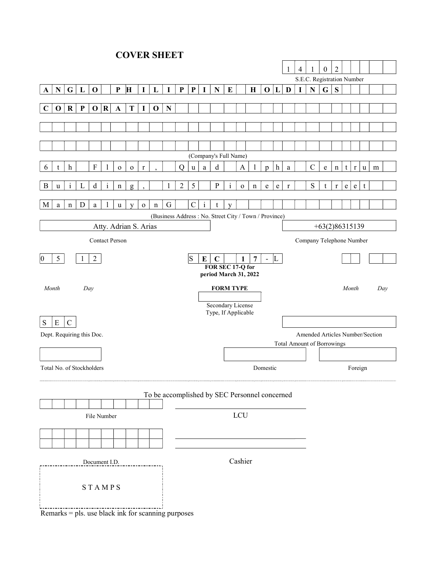**COVER SHEET** 

|                                                       |                                               |                           |              |                           |                         |              |             |              |             |             |                                                                                       |              |              |                       | 1        | $\overline{4}$ |             | $\bf{0}$                   | $\overline{2}$ |         |   |                                   |              |                          |           |              |             |   |  |  |  |
|-------------------------------------------------------|-----------------------------------------------|---------------------------|--------------|---------------------------|-------------------------|--------------|-------------|--------------|-------------|-------------|---------------------------------------------------------------------------------------|--------------|--------------|-----------------------|----------|----------------|-------------|----------------------------|----------------|---------|---|-----------------------------------|--------------|--------------------------|-----------|--------------|-------------|---|--|--|--|
|                                                       |                                               |                           |              |                           |                         |              |             |              |             |             |                                                                                       |              |              |                       |          |                |             | S.E.C. Registration Number |                |         |   |                                   |              |                          |           |              |             |   |  |  |  |
| A                                                     | $\mathbf N$                                   | $\mathbf G$               | $\mathbf{L}$ | $\mathbf 0$               |                         | ${\bf P}$    | H           | $\mathbf I$  | L           | $\mathbf I$ | ${\bf P}$                                                                             | $\mathbf{P}$ | $\mathbf I$  | ${\bf N}$             | $\bf{E}$ |                | $\mathbf H$ | $\mathbf{O}$               | L              | D       | I | ${\bf N}$                         | $\mathbf G$  | ${\bf S}$                |           |              |             |   |  |  |  |
| $\mathbf C$                                           | $\bf{0}$                                      | $\bf R$                   | $\mathbf{P}$ | $\mathbf 0$               | $\overline{\mathbf{R}}$ | $\mathbf{A}$ | T           | $\bf{I}$     | $\mathbf 0$ | $\mathbf N$ |                                                                                       |              |              |                       |          |                |             |                            |                |         |   |                                   |              |                          |           |              |             |   |  |  |  |
|                                                       |                                               |                           |              |                           |                         |              |             |              |             |             |                                                                                       |              |              |                       |          |                |             |                            |                |         |   |                                   |              |                          |           |              |             |   |  |  |  |
|                                                       |                                               |                           |              |                           |                         |              |             |              |             |             |                                                                                       |              |              |                       |          |                |             |                            |                |         |   |                                   |              |                          |           |              |             |   |  |  |  |
|                                                       |                                               |                           |              |                           |                         |              |             |              |             |             |                                                                                       |              |              |                       |          |                |             |                            |                |         |   |                                   |              |                          |           |              |             |   |  |  |  |
|                                                       |                                               |                           |              |                           |                         |              |             |              |             |             |                                                                                       |              |              | (Company's Full Name) |          |                |             |                            |                |         |   |                                   |              |                          |           |              |             |   |  |  |  |
| 6                                                     | t                                             | $\boldsymbol{\mathrm{h}}$ |              | $\boldsymbol{\mathrm{F}}$ | 1                       | $\mathbf{o}$ | $\mathbf 0$ | $\mathbf{r}$ |             |             | Q                                                                                     | $\mathbf u$  | $\rm{a}$     | $\mathbf d$           |          | $\mathbf{A}$   | 1           | p                          | $\mathbf{h}$   | a       |   | $\mathbf C$                       | e            | $\mathbf n$              | t         | $\mathbf{r}$ | $\mathbf u$ | m |  |  |  |
| B                                                     | u                                             | $\mathbf{i}$              | L            | $\mathbf d$               | $\mathbf{i}$            |              |             |              |             | 1           | $\overline{2}$                                                                        | 5            |              | $\mathbf{P}$          | $\rm i$  | $\mathbf 0$    |             | $\mathbf e$                | $\mathbf e$    | $\bf r$ |   | ${\bf S}$                         | t            | $\bf r$                  | ${\bf e}$ | $\mathbf e$  | t           |   |  |  |  |
|                                                       |                                               |                           |              |                           |                         | n            | g           |              |             |             |                                                                                       |              |              |                       |          |                | n           |                            |                |         |   |                                   |              |                          |           |              |             |   |  |  |  |
| M                                                     | a                                             | n                         | $\mathbf D$  | a                         | $\mathbf{1}$            | $\mathbf u$  | y           | $\mathbf O$  | $\mathbf n$ | G           |                                                                                       | $\mathbf C$  | $\mathbf{i}$ | t                     | y        |                |             |                            |                |         |   |                                   |              |                          |           |              |             |   |  |  |  |
| (Business Address: No. Street City / Town / Province) |                                               |                           |              |                           |                         |              |             |              |             |             |                                                                                       |              |              |                       |          |                |             |                            |                |         |   |                                   |              |                          |           |              |             |   |  |  |  |
| Atty. Adrian S. Arias                                 |                                               |                           |              |                           |                         |              |             |              |             |             |                                                                                       |              |              |                       |          |                |             |                            |                |         |   | $+63(2)86315139$                  |              |                          |           |              |             |   |  |  |  |
| <b>Contact Person</b>                                 |                                               |                           |              |                           |                         |              |             |              |             |             |                                                                                       |              |              |                       |          |                |             |                            |                |         |   |                                   |              | Company Telephone Number |           |              |             |   |  |  |  |
| $5\overline{)}$<br>$\overline{2}$<br>1<br>$ 0\rangle$ |                                               |                           |              |                           |                         |              |             |              |             |             | $\overline{7}$<br>$\vert S$<br>E<br>$\mathbf C$<br>1<br>L<br>$\overline{\phantom{a}}$ |              |              |                       |          |                |             |                            |                |         |   |                                   |              |                          |           |              |             |   |  |  |  |
| FOR SEC 17-Q for<br>period March 31, 2022             |                                               |                           |              |                           |                         |              |             |              |             |             |                                                                                       |              |              |                       |          |                |             |                            |                |         |   |                                   |              |                          |           |              |             |   |  |  |  |
| Month<br>Day                                          |                                               |                           |              |                           |                         |              |             |              |             |             | <b>FORM TYPE</b>                                                                      |              |              |                       |          |                |             |                            |                |         |   |                                   | Month<br>Day |                          |           |              |             |   |  |  |  |
|                                                       |                                               |                           |              |                           |                         |              |             |              |             |             |                                                                                       |              |              |                       |          |                |             |                            |                |         |   |                                   |              |                          |           |              |             |   |  |  |  |
|                                                       | Secondary License<br>Type, If Applicable      |                           |              |                           |                         |              |             |              |             |             |                                                                                       |              |              |                       |          |                |             |                            |                |         |   |                                   |              |                          |           |              |             |   |  |  |  |
| ${\bf E}$<br>S<br>$\mathbf C$                         |                                               |                           |              |                           |                         |              |             |              |             |             |                                                                                       |              |              |                       |          |                |             |                            |                |         |   |                                   |              |                          |           |              |             |   |  |  |  |
| Dept. Requiring this Doc.                             |                                               |                           |              |                           |                         |              |             |              |             |             |                                                                                       |              |              |                       |          |                |             |                            |                |         |   | Amended Articles Number/Section   |              |                          |           |              |             |   |  |  |  |
|                                                       |                                               |                           |              |                           |                         |              |             |              |             |             |                                                                                       |              |              |                       |          |                |             |                            |                |         |   | <b>Total Amount of Borrowings</b> |              |                          |           |              |             |   |  |  |  |
|                                                       |                                               |                           |              |                           |                         |              |             |              |             |             |                                                                                       |              |              |                       |          |                |             |                            |                |         |   |                                   |              |                          |           |              |             |   |  |  |  |
| Total No. of Stockholders                             |                                               |                           |              |                           |                         |              |             |              |             |             |                                                                                       | Domestic     |              |                       |          |                |             |                            |                |         |   |                                   | Foreign      |                          |           |              |             |   |  |  |  |
|                                                       | To be accomplished by SEC Personnel concerned |                           |              |                           |                         |              |             |              |             |             |                                                                                       |              |              |                       |          |                |             |                            |                |         |   |                                   |              |                          |           |              |             |   |  |  |  |
|                                                       |                                               |                           |              |                           |                         |              |             |              |             |             |                                                                                       |              |              |                       |          |                |             |                            |                |         |   |                                   |              |                          |           |              |             |   |  |  |  |
|                                                       |                                               | File Number               |              | LCU                       |                         |              |             |              |             |             |                                                                                       |              |              |                       |          |                |             |                            |                |         |   |                                   |              |                          |           |              |             |   |  |  |  |
|                                                       |                                               |                           |              |                           |                         |              |             |              |             |             |                                                                                       |              |              |                       |          |                |             |                            |                |         |   |                                   |              |                          |           |              |             |   |  |  |  |
|                                                       |                                               |                           |              |                           |                         |              |             |              |             |             |                                                                                       |              |              |                       |          |                |             |                            |                |         |   |                                   |              |                          |           |              |             |   |  |  |  |
|                                                       |                                               |                           |              |                           |                         |              |             |              |             |             | Cashier                                                                               |              |              |                       |          |                |             |                            |                |         |   |                                   |              |                          |           |              |             |   |  |  |  |
| Document I.D.                                         |                                               |                           |              |                           |                         |              |             |              |             |             |                                                                                       |              |              |                       |          |                |             |                            |                |         |   |                                   |              |                          |           |              |             |   |  |  |  |
| STAMPS                                                |                                               |                           |              |                           |                         |              |             |              |             |             |                                                                                       |              |              |                       |          |                |             |                            |                |         |   |                                   |              |                          |           |              |             |   |  |  |  |
|                                                       |                                               |                           |              |                           |                         |              |             |              |             |             |                                                                                       |              |              |                       |          |                |             |                            |                |         |   |                                   |              |                          |           |              |             |   |  |  |  |

Remarks = pls. use black ink for scanning purposes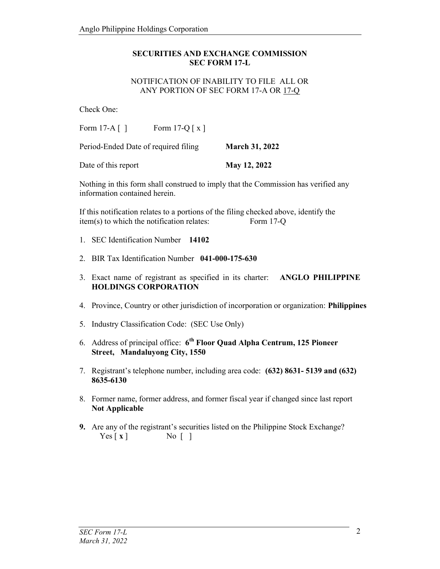### SECURITIES AND EXCHANGE COMMISSION SEC FORM 17-L

#### NOTIFICATION OF INABILITY TO FILE ALL OR ANY PORTION OF SEC FORM 17-A OR 17-Q

Check One:

Form  $17-A$  [ ] Form  $17-Q$  [ x ]

Period-Ended Date of required filing March 31, 2022

Date of this report May 12, 2022

Nothing in this form shall construed to imply that the Commission has verified any information contained herein.

If this notification relates to a portions of the filing checked above, identify the item(s) to which the notification relates: Form 17-Q

- 1. SEC Identification Number 14102
- 2. BIR Tax Identification Number 041-000-175-630
- 3. Exact name of registrant as specified in its charter: ANGLO PHILIPPINE HOLDINGS CORPORATION
- 4. Province, Country or other jurisdiction of incorporation or organization: Philippines
- 5. Industry Classification Code: (SEC Use Only)
- 6. Address of principal office:  $6<sup>th</sup>$  Floor Quad Alpha Centrum, 125 Pioneer Street, Mandaluyong City, 1550
- 7. Registrant's telephone number, including area code: (632) 8631- 5139 and (632) 8635-6130
- 8. Former name, former address, and former fiscal year if changed since last report Not Applicable
- 9. Are any of the registrant's securities listed on the Philippine Stock Exchange?  $Yes [ x ]$  No [ ]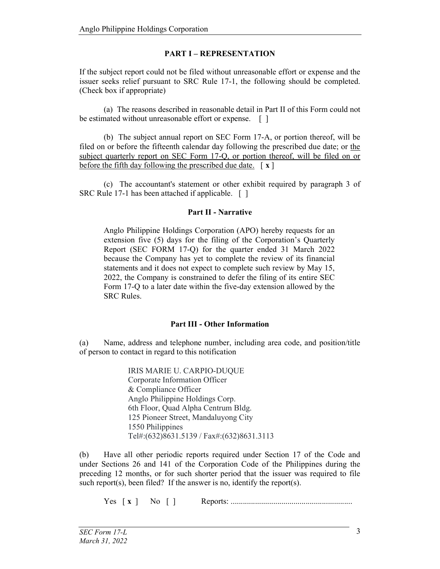# PART I – REPRESENTATION

If the subject report could not be filed without unreasonable effort or expense and the issuer seeks relief pursuant to SRC Rule 17-1, the following should be completed. (Check box if appropriate)

 (a) The reasons described in reasonable detail in Part II of this Form could not be estimated without unreasonable effort or expense. [ ]

 (b) The subject annual report on SEC Form 17-A, or portion thereof, will be filed on or before the fifteenth calendar day following the prescribed due date; or the subject quarterly report on SEC Form 17-Q, or portion thereof, will be filed on or before the fifth day following the prescribed due date.  $\lceil x \rceil$ 

 (c) The accountant's statement or other exhibit required by paragraph 3 of SRC Rule 17-1 has been attached if applicable. [ ]

### Part II - Narrative

Anglo Philippine Holdings Corporation (APO) hereby requests for an extension five (5) days for the filing of the Corporation's Quarterly Report (SEC FORM 17-Q) for the quarter ended 31 March 2022 because the Company has yet to complete the review of its financial statements and it does not expect to complete such review by May 15, 2022, the Company is constrained to defer the filing of its entire SEC Form 17-Q to a later date within the five-day extension allowed by the SRC Rules.

## Part III - Other Information

(a) Name, address and telephone number, including area code, and position/title of person to contact in regard to this notification

> IRIS MARIE U. CARPIO-DUQUE Corporate Information Officer & Compliance Officer Anglo Philippine Holdings Corp. 6th Floor, Quad Alpha Centrum Bldg. 125 Pioneer Street, Mandaluyong City 1550 Philippines Tel#:(632)8631.5139 / Fax#:(632)8631.3113

(b) Have all other periodic reports required under Section 17 of the Code and under Sections 26 and 141 of the Corporation Code of the Philippines during the preceding 12 months, or for such shorter period that the issuer was required to file such report(s), been filed? If the answer is no, identify the report(s).

Yes [ x ] No [ ] Reports: ............................................................